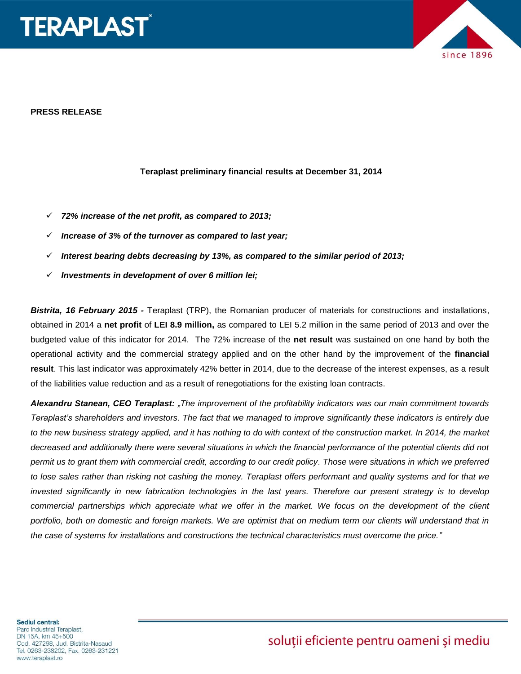



#### **PRESS RELEASE**

#### **Teraplast preliminary financial results at December 31, 2014**

- *72% increase of the net profit, as compared to 2013;*
- *Increase of 3% of the turnover as compared to last year;*
- *Interest bearing debts decreasing by 13%, as compared to the similar period of 2013;*
- *Investments in development of over 6 million lei;*

*Bistrita, 16 February 2015 -* Teraplast (TRP), the Romanian producer of materials for constructions and installations, obtained in 2014 a **net profit** of **LEI 8.9 million,** as compared to LEI 5.2 million in the same period of 2013 and over the budgeted value of this indicator for 2014. The 72% increase of the **net result** was sustained on one hand by both the operational activity and the commercial strategy applied and on the other hand by the improvement of the **financial result**. This last indicator was approximately 42% better in 2014, due to the decrease of the interest expenses, as a result of the liabilities value reduction and as a result of renegotiations for the existing loan contracts.

*Alexandru Stanean, CEO Teraplast: "The improvement of the profitability indicators was our main commitment towards Teraplast's shareholders and investors. The fact that we managed to improve significantly these indicators is entirely due to the new business strategy applied, and it has nothing to do with context of the construction market. In 2014, the market decreased and additionally there were several situations in which the financial performance of the potential clients did not permit us to grant them with commercial credit, according to our credit policy. Those were situations in which we preferred to lose sales rather than risking not cashing the money. Teraplast offers performant and quality systems and for that we invested significantly in new fabrication technologies in the last years. Therefore our present strategy is to develop commercial partnerships which appreciate what we offer in the market. We focus on the development of the client portfolio, both on domestic and foreign markets. We are optimist that on medium term our clients will understand that in the case of systems for installations and constructions the technical characteristics must overcome the price."*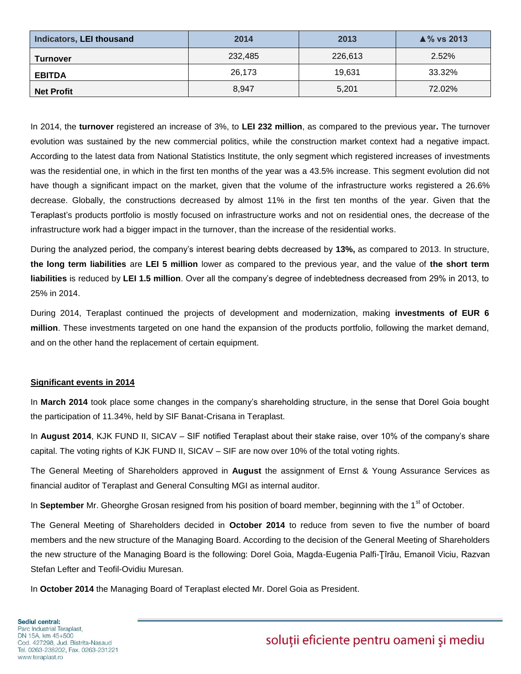| Indicators, LEI thousand | 2014    | 2013    | $\triangle$ % vs 2013 |
|--------------------------|---------|---------|-----------------------|
| <b>Turnover</b>          | 232,485 | 226,613 | 2.52%                 |
| <b>EBITDA</b>            | 26,173  | 19.631  | 33.32%                |
| <b>Net Profit</b>        | 8,947   | 5,201   | 72.02%                |

In 2014, the **turnover** registered an increase of 3%, to **LEI 232 million**, as compared to the previous year**.** The turnover evolution was sustained by the new commercial politics, while the construction market context had a negative impact. According to the latest data from National Statistics Institute, the only segment which registered increases of investments was the residential one, in which in the first ten months of the year was a 43.5% increase. This segment evolution did not have though a significant impact on the market, given that the volume of the infrastructure works registered a 26.6% decrease. Globally, the constructions decreased by almost 11% in the first ten months of the year. Given that the Teraplast's products portfolio is mostly focused on infrastructure works and not on residential ones, the decrease of the infrastructure work had a bigger impact in the turnover, than the increase of the residential works.

During the analyzed period, the company's interest bearing debts decreased by **13%,** as compared to 2013. In structure, **the long term liabilities** are **LEI 5 million** lower as compared to the previous year, and the value of **the short term liabilities** is reduced by **LEI 1.5 million**. Over all the company's degree of indebtedness decreased from 29% in 2013, to 25% in 2014.

During 2014, Teraplast continued the projects of development and modernization, making **investments of EUR 6 million**. These investments targeted on one hand the expansion of the products portfolio, following the market demand, and on the other hand the replacement of certain equipment.

### **Significant events in 2014**

In **March 2014** took place some changes in the company's shareholding structure, in the sense that Dorel Goia bought the participation of 11.34%, held by SIF Banat-Crisana in Teraplast.

In **August 2014**, KJK FUND II, SICAV – SIF notified Teraplast about their stake raise, over 10% of the company's share capital. The voting rights of KJK FUND II, SICAV – SIF are now over 10% of the total voting rights.

The General Meeting of Shareholders approved in **August** the assignment of Ernst & Young Assurance Services as financial auditor of Teraplast and General Consulting MGI as internal auditor.

In September Mr. Gheorghe Grosan resigned from his position of board member, beginning with the 1<sup>st</sup> of October.

The General Meeting of Shareholders decided in **October 2014** to reduce from seven to five the number of board members and the new structure of the Managing Board. According to the decision of the General Meeting of Shareholders the new structure of the Managing Board is the following: Dorel Goia, Magda-Eugenia Palfi-Ţîrău, Emanoil Viciu, Razvan Stefan Lefter and Teofil-Ovidiu Muresan.

In **October 2014** the Managing Board of Teraplast elected Mr. Dorel Goia as President.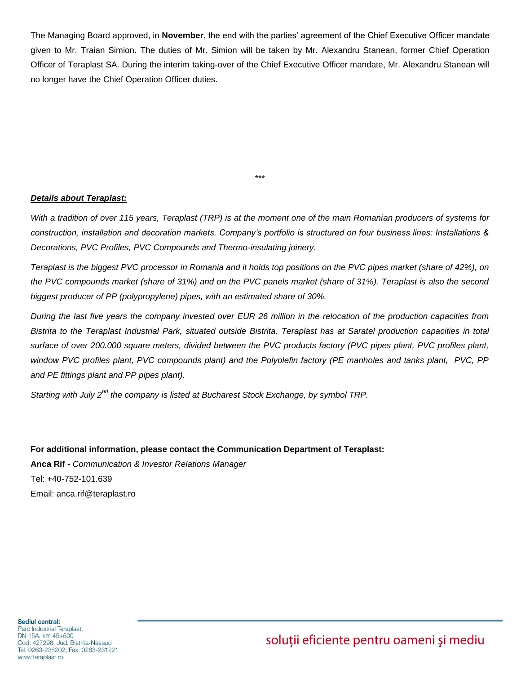The Managing Board approved, in **November**, the end with the parties' agreement of the Chief Executive Officer mandate given to Mr. Traian Simion. The duties of Mr. Simion will be taken by Mr. Alexandru Stanean, former Chief Operation Officer of Teraplast SA. During the interim taking-over of the Chief Executive Officer mandate, Mr. Alexandru Stanean will no longer have the Chief Operation Officer duties.

### *Details about Teraplast:*

*With a tradition of over 115 years, Teraplast (TRP) is at the moment one of the main Romanian producers of systems for construction, installation and decoration markets. Company's portfolio is structured on four business lines: Installations & Decorations, PVC Profiles, PVC Compounds and Thermo-insulating joinery.* 

\*\*\*

*Teraplast is the biggest PVC processor in Romania and it holds top positions on the PVC pipes market (share of 42%), on the PVC compounds market (share of 31%) and on the PVC panels market (share of 31%). Teraplast is also the second biggest producer of PP (polypropylene) pipes, with an estimated share of 30%.* 

*During the last five years the company invested over EUR 26 million in the relocation of the production capacities from Bistrita to the Teraplast Industrial Park, situated outside Bistrita. Teraplast has at Saratel production capacities in total*  surface of over 200.000 square meters, divided between the PVC products factory (PVC pipes plant, PVC profiles plant, *window PVC profiles plant, PVC compounds plant) and the Polyolefin factory (PE manholes and tanks plant, PVC, PP and PE fittings plant and PP pipes plant).* 

*Starting with July 2nd the company is listed at Bucharest Stock Exchange, by symbol TRP.* 

**For additional information, please contact the Communication Department of Teraplast: Anca Rif -** *Communication & Investor Relations Manager* Tel: +40-752-101.639 Email: [anca.rif@teraplast.ro](mailto:anca.rif@teraplast.ro)

soluții eficiente pentru oameni și mediu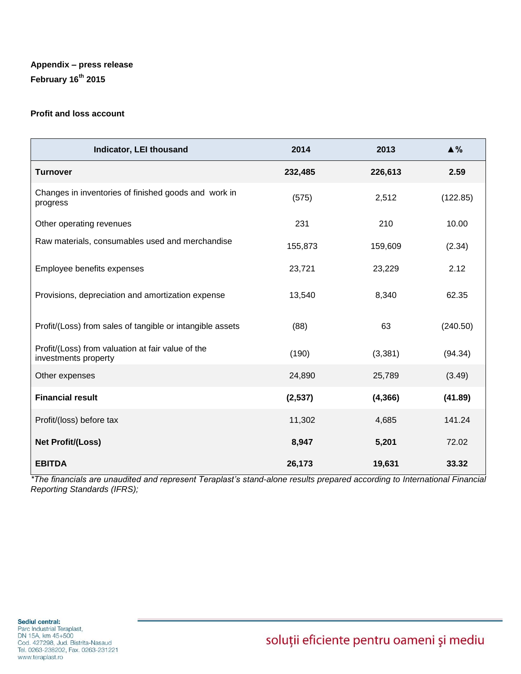# **Appendix – press release February 16th 2015**

## **Profit and loss account**

| Indicator, LEI thousand                                                   | 2014    | 2013     | $\triangle$ % |
|---------------------------------------------------------------------------|---------|----------|---------------|
| <b>Turnover</b>                                                           | 232,485 | 226,613  | 2.59          |
| Changes in inventories of finished goods and work in<br>progress          | (575)   | 2,512    | (122.85)      |
| Other operating revenues                                                  | 231     | 210      | 10.00         |
| Raw materials, consumables used and merchandise                           | 155,873 | 159,609  | (2.34)        |
| Employee benefits expenses                                                | 23,721  | 23,229   | 2.12          |
| Provisions, depreciation and amortization expense                         | 13,540  | 8,340    | 62.35         |
| Profit/(Loss) from sales of tangible or intangible assets                 | (88)    | 63       | (240.50)      |
| Profit/(Loss) from valuation at fair value of the<br>investments property | (190)   | (3, 381) | (94.34)       |
| Other expenses                                                            | 24,890  | 25,789   | (3.49)        |
| <b>Financial result</b>                                                   | (2,537) | (4,366)  | (41.89)       |
| Profit/(loss) before tax                                                  | 11,302  | 4,685    | 141.24        |
| <b>Net Profit/(Loss)</b>                                                  | 8,947   | 5,201    | 72.02         |
| <b>EBITDA</b>                                                             | 26,173  | 19,631   | 33.32         |

*\*The financials are unaudited and represent Teraplast's stand-alone results prepared according to International Financial Reporting Standards (IFRS);*